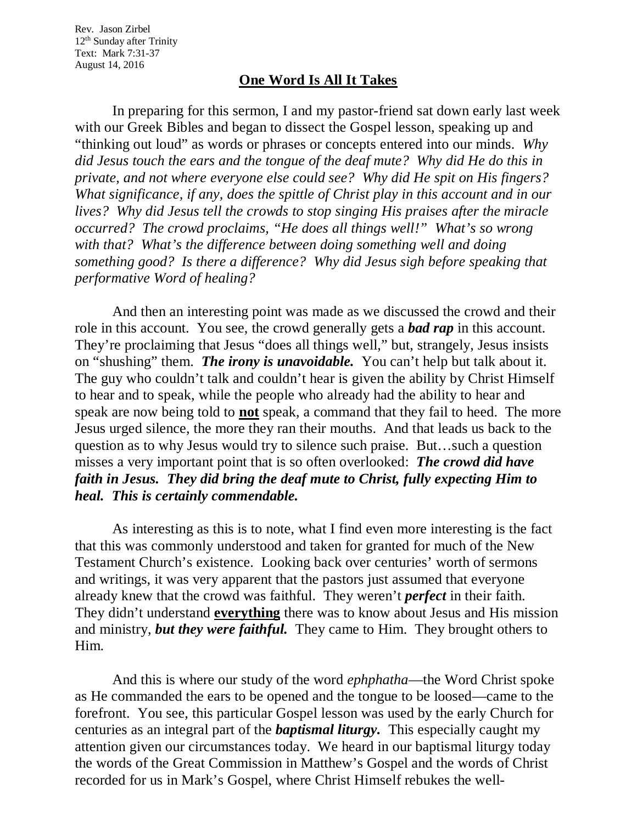Rev. Jason Zirbel 12<sup>th</sup> Sunday after Trinity Text: Mark 7:31-37 August 14, 2016

## **One Word Is All It Takes**

In preparing for this sermon, I and my pastor-friend sat down early last week with our Greek Bibles and began to dissect the Gospel lesson, speaking up and "thinking out loud" as words or phrases or concepts entered into our minds. *Why did Jesus touch the ears and the tongue of the deaf mute? Why did He do this in private, and not where everyone else could see? Why did He spit on His fingers? What significance, if any, does the spittle of Christ play in this account and in our lives? Why did Jesus tell the crowds to stop singing His praises after the miracle occurred? The crowd proclaims, "He does all things well!" What's so wrong with that? What's the difference between doing something well and doing something good? Is there a difference? Why did Jesus sigh before speaking that performative Word of healing?* 

And then an interesting point was made as we discussed the crowd and their role in this account. You see, the crowd generally gets a *bad rap* in this account. They're proclaiming that Jesus "does all things well," but, strangely, Jesus insists on "shushing" them. *The irony is unavoidable.* You can't help but talk about it. The guy who couldn't talk and couldn't hear is given the ability by Christ Himself to hear and to speak, while the people who already had the ability to hear and speak are now being told to **not** speak, a command that they fail to heed. The more Jesus urged silence, the more they ran their mouths. And that leads us back to the question as to why Jesus would try to silence such praise. But…such a question misses a very important point that is so often overlooked: *The crowd did have faith in Jesus. They did bring the deaf mute to Christ, fully expecting Him to heal. This is certainly commendable.* 

As interesting as this is to note, what I find even more interesting is the fact that this was commonly understood and taken for granted for much of the New Testament Church's existence. Looking back over centuries' worth of sermons and writings, it was very apparent that the pastors just assumed that everyone already knew that the crowd was faithful. They weren't *perfect* in their faith. They didn't understand **everything** there was to know about Jesus and His mission and ministry, *but they were faithful.* They came to Him. They brought others to Him.

And this is where our study of the word *ephphatha*—the Word Christ spoke as He commanded the ears to be opened and the tongue to be loosed—came to the forefront. You see, this particular Gospel lesson was used by the early Church for centuries as an integral part of the *baptismal liturgy.* This especially caught my attention given our circumstances today. We heard in our baptismal liturgy today the words of the Great Commission in Matthew's Gospel and the words of Christ recorded for us in Mark's Gospel, where Christ Himself rebukes the well-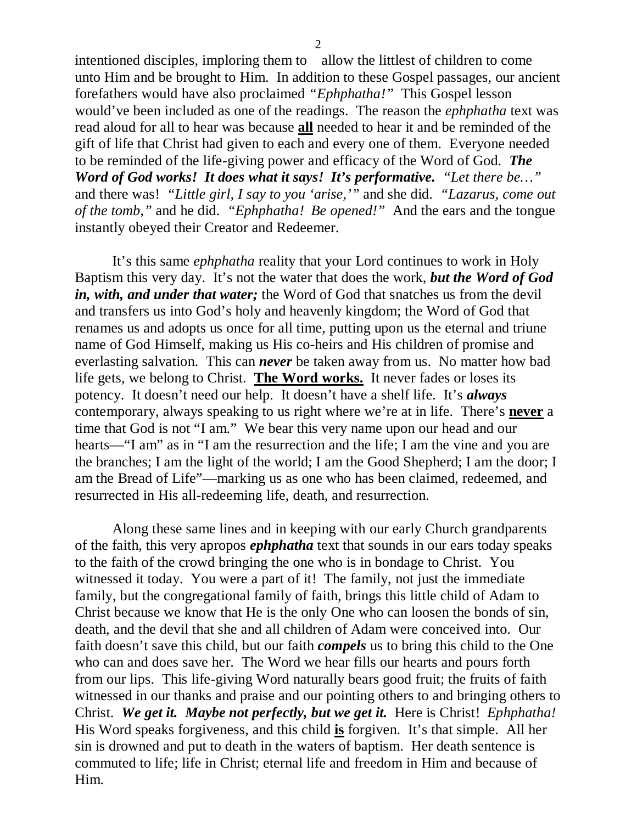intentioned disciples, imploring them to allow the littlest of children to come unto Him and be brought to Him. In addition to these Gospel passages, our ancient forefathers would have also proclaimed *"Ephphatha!"* This Gospel lesson would've been included as one of the readings. The reason the *ephphatha* text was read aloud for all to hear was because **all** needed to hear it and be reminded of the gift of life that Christ had given to each and every one of them. Everyone needed to be reminded of the life-giving power and efficacy of the Word of God. *The Word of God works! It does what it says! It's performative. "Let there be…"* and there was! *"Little girl, I say to you 'arise,'"* and she did. *"Lazarus, come out of the tomb,"* and he did. *"Ephphatha! Be opened!"* And the ears and the tongue instantly obeyed their Creator and Redeemer.

It's this same *ephphatha* reality that your Lord continues to work in Holy Baptism this very day. It's not the water that does the work, *but the Word of God in, with, and under that water;* the Word of God that snatches us from the devil and transfers us into God's holy and heavenly kingdom; the Word of God that renames us and adopts us once for all time, putting upon us the eternal and triune name of God Himself, making us His co-heirs and His children of promise and everlasting salvation. This can *never* be taken away from us. No matter how bad life gets, we belong to Christ. **The Word works.** It never fades or loses its potency. It doesn't need our help. It doesn't have a shelf life. It's *always* contemporary, always speaking to us right where we're at in life. There's **never** a time that God is not "I am." We bear this very name upon our head and our hearts—"I am" as in "I am the resurrection and the life; I am the vine and you are the branches; I am the light of the world; I am the Good Shepherd; I am the door; I am the Bread of Life"—marking us as one who has been claimed, redeemed, and resurrected in His all-redeeming life, death, and resurrection.

Along these same lines and in keeping with our early Church grandparents of the faith, this very apropos *ephphatha* text that sounds in our ears today speaks to the faith of the crowd bringing the one who is in bondage to Christ. You witnessed it today. You were a part of it! The family, not just the immediate family, but the congregational family of faith, brings this little child of Adam to Christ because we know that He is the only One who can loosen the bonds of sin, death, and the devil that she and all children of Adam were conceived into. Our faith doesn't save this child, but our faith *compels* us to bring this child to the One who can and does save her. The Word we hear fills our hearts and pours forth from our lips. This life-giving Word naturally bears good fruit; the fruits of faith witnessed in our thanks and praise and our pointing others to and bringing others to Christ. *We get it. Maybe not perfectly, but we get it.* Here is Christ! *Ephphatha!* His Word speaks forgiveness, and this child **is** forgiven. It's that simple. All her sin is drowned and put to death in the waters of baptism. Her death sentence is commuted to life; life in Christ; eternal life and freedom in Him and because of Him.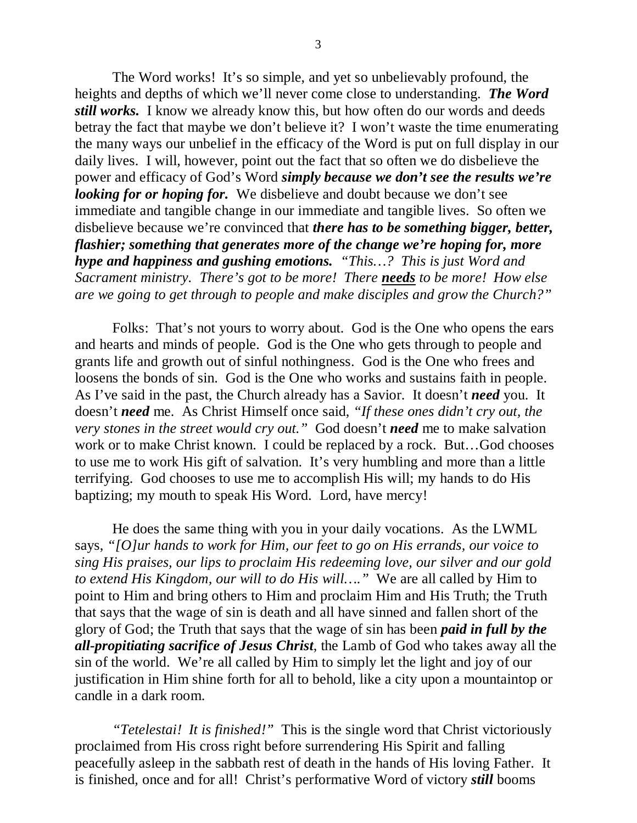The Word works! It's so simple, and yet so unbelievably profound, the heights and depths of which we'll never come close to understanding. *The Word still works.* I know we already know this, but how often do our words and deeds betray the fact that maybe we don't believe it? I won't waste the time enumerating the many ways our unbelief in the efficacy of the Word is put on full display in our daily lives. I will, however, point out the fact that so often we do disbelieve the power and efficacy of God's Word *simply because we don't see the results we're looking for or hoping for.* We disbelieve and doubt because we don't see immediate and tangible change in our immediate and tangible lives. So often we disbelieve because we're convinced that *there has to be something bigger, better, flashier; something that generates more of the change we're hoping for, more hype and happiness and gushing emotions. "This…? This is just Word and Sacrament ministry. There's got to be more! There needs to be more! How else are we going to get through to people and make disciples and grow the Church?"*

Folks: That's not yours to worry about. God is the One who opens the ears and hearts and minds of people. God is the One who gets through to people and grants life and growth out of sinful nothingness. God is the One who frees and loosens the bonds of sin. God is the One who works and sustains faith in people. As I've said in the past, the Church already has a Savior. It doesn't *need* you. It doesn't *need* me. As Christ Himself once said, *"If these ones didn't cry out, the very stones in the street would cry out."* God doesn't *need* me to make salvation work or to make Christ known. I could be replaced by a rock. But...God chooses to use me to work His gift of salvation. It's very humbling and more than a little terrifying. God chooses to use me to accomplish His will; my hands to do His baptizing; my mouth to speak His Word. Lord, have mercy!

He does the same thing with you in your daily vocations. As the LWML says, *"[O]ur hands to work for Him, our feet to go on His errands, our voice to sing His praises, our lips to proclaim His redeeming love, our silver and our gold to extend His Kingdom, our will to do His will…."* We are all called by Him to point to Him and bring others to Him and proclaim Him and His Truth; the Truth that says that the wage of sin is death and all have sinned and fallen short of the glory of God; the Truth that says that the wage of sin has been *paid in full by the all-propitiating sacrifice of Jesus Christ*, the Lamb of God who takes away all the sin of the world. We're all called by Him to simply let the light and joy of our justification in Him shine forth for all to behold, like a city upon a mountaintop or candle in a dark room.

*"Tetelestai! It is finished!"* This is the single word that Christ victoriously proclaimed from His cross right before surrendering His Spirit and falling peacefully asleep in the sabbath rest of death in the hands of His loving Father. It is finished, once and for all! Christ's performative Word of victory *still* booms